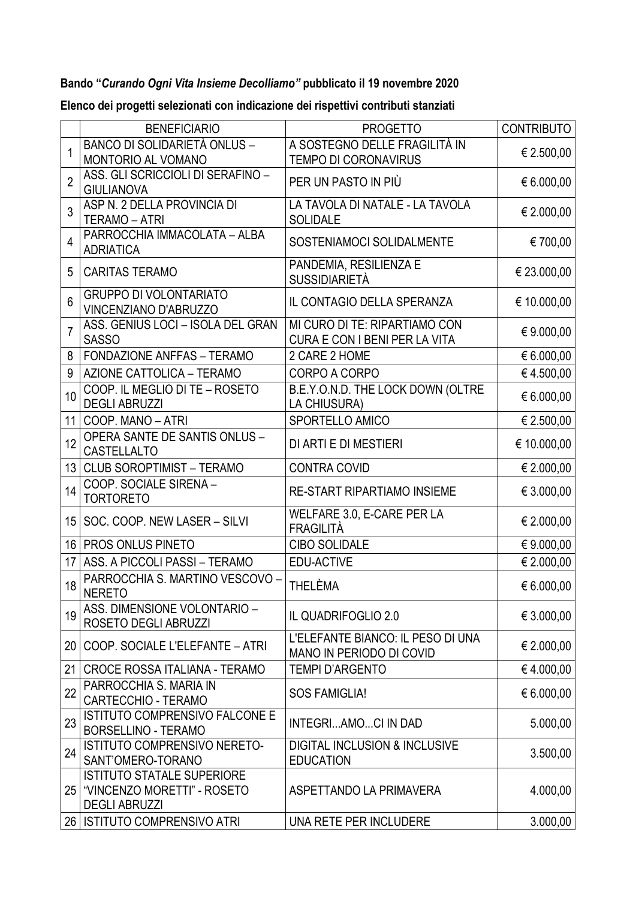## **Bando "***Curando Ogni Vita Insieme Decolliamo"* **pubblicato il 19 novembre 2020**

|                 | <b>BENEFICIARIO</b>                                                                           | <b>PROGETTO</b>                                                      | <b>CONTRIBUTO</b> |
|-----------------|-----------------------------------------------------------------------------------------------|----------------------------------------------------------------------|-------------------|
| 1               | <b>BANCO DI SOLIDARIETÀ ONLUS -</b><br>MONTORIO AL VOMANO                                     | A SOSTEGNO DELLE FRAGILITÀ IN<br><b>TEMPO DI CORONAVIRUS</b>         | € 2.500,00        |
| $\overline{2}$  | ASS. GLI SCRICCIOLI DI SERAFINO -<br><b>GIULIANOVA</b>                                        | PER UN PASTO IN PIÙ                                                  | € 6.000,00        |
| 3               | ASP N. 2 DELLA PROVINCIA DI<br>TERAMO - ATRI                                                  | LA TAVOLA DI NATALE - LA TAVOLA<br><b>SOLIDALE</b>                   | € 2.000,00        |
| 4               | PARROCCHIA IMMACOLATA - ALBA<br><b>ADRIATICA</b>                                              | SOSTENIAMOCI SOLIDALMENTE                                            | €700,00           |
| 5               | <b>CARITAS TERAMO</b>                                                                         | PANDEMIA, RESILIENZA E<br><b>SUSSIDIARIETÀ</b>                       | € 23.000,00       |
| 6               | <b>GRUPPO DI VOLONTARIATO</b><br>VINCENZIANO D'ABRUZZO                                        | IL CONTAGIO DELLA SPERANZA                                           | € 10.000,00       |
| 7               | ASS. GENIUS LOCI - ISOLA DEL GRAN<br><b>SASSO</b>                                             | MI CURO DI TE: RIPARTIAMO CON<br>CURA E CON I BENI PER LA VITA       | € 9.000,00        |
| 8               | <b>FONDAZIONE ANFFAS - TERAMO</b>                                                             | 2 CARE 2 HOME                                                        | € 6.000,00        |
| 9               | AZIONE CATTOLICA - TERAMO                                                                     | CORPO A CORPO                                                        | €4.500,00         |
| 10 <sup>°</sup> | COOP. IL MEGLIO DI TE - ROSETO<br><b>DEGLI ABRUZZI</b>                                        | B.E.Y.O.N.D. THE LOCK DOWN (OLTRE<br>LA CHIUSURA)                    | € 6.000,00        |
| 11              | COOP. MANO - ATRI                                                                             | SPORTELLO AMICO                                                      | € 2.500,00        |
| 12              | <b>OPERA SANTE DE SANTIS ONLUS -</b><br>CASTELLALTO                                           | DI ARTI E DI MESTIERI                                                | € 10.000,00       |
|                 | 13   CLUB SOROPTIMIST - TERAMO                                                                | <b>CONTRA COVID</b>                                                  | € 2.000,00        |
| 14              | COOP. SOCIALE SIRENA -<br><b>TORTORETO</b>                                                    | <b>RE-START RIPARTIAMO INSIEME</b>                                   | € 3.000,00        |
|                 | 15   SOC. COOP. NEW LASER - SILVI                                                             | WELFARE 3.0, E-CARE PER LA<br>FRAGILITÀ                              | € 2.000,00        |
|                 | 16   PROS ONLUS PINETO                                                                        | <b>CIBO SOLIDALE</b>                                                 | € 9.000,00        |
| 17              | ASS. A PICCOLI PASSI - TERAMO                                                                 | EDU-ACTIVE                                                           | € 2.000,00        |
| 18              | PARROCCHIA S. MARTINO VESCOVO -<br><b>NERETO</b>                                              | THELÈMA                                                              | 6.000,00          |
| 19              | ASS. DIMENSIONE VOLONTARIO -<br>ROSETO DEGLI ABRUZZI                                          | IL QUADRIFOGLIO 2.0                                                  | € 3.000,00        |
| 20 <sub>1</sub> | COOP. SOCIALE L'ELEFANTE - ATRI                                                               | L'ELEFANTE BIANCO: IL PESO DI UNA<br><b>MANO IN PERIODO DI COVID</b> | € 2.000,00        |
| 21              | CROCE ROSSA ITALIANA - TERAMO                                                                 | <b>TEMPI D'ARGENTO</b>                                               | €4.000,00         |
| 22              | PARROCCHIA S. MARIA IN<br><b>CARTECCHIO - TERAMO</b>                                          | <b>SOS FAMIGLIA!</b>                                                 | € 6.000,00        |
| 23              | ISTITUTO COMPRENSIVO FALCONE E<br><b>BORSELLINO - TERAMO</b>                                  | INTEGRIAMOCI IN DAD                                                  | 5.000,00          |
| 24              | ISTITUTO COMPRENSIVO NERETO-<br>SANT'OMERO-TORANO                                             | <b>DIGITAL INCLUSION &amp; INCLUSIVE</b><br><b>EDUCATION</b>         | 3.500,00          |
|                 | <b>ISTITUTO STATALE SUPERIORE</b><br>25   "VINCENZO MORETTI" - ROSETO<br><b>DEGLI ABRUZZI</b> | ASPETTANDO LA PRIMAVERA                                              | 4.000,00          |
|                 | 26   ISTITUTO COMPRENSIVO ATRI                                                                | UNA RETE PER INCLUDERE                                               | 3.000,00          |